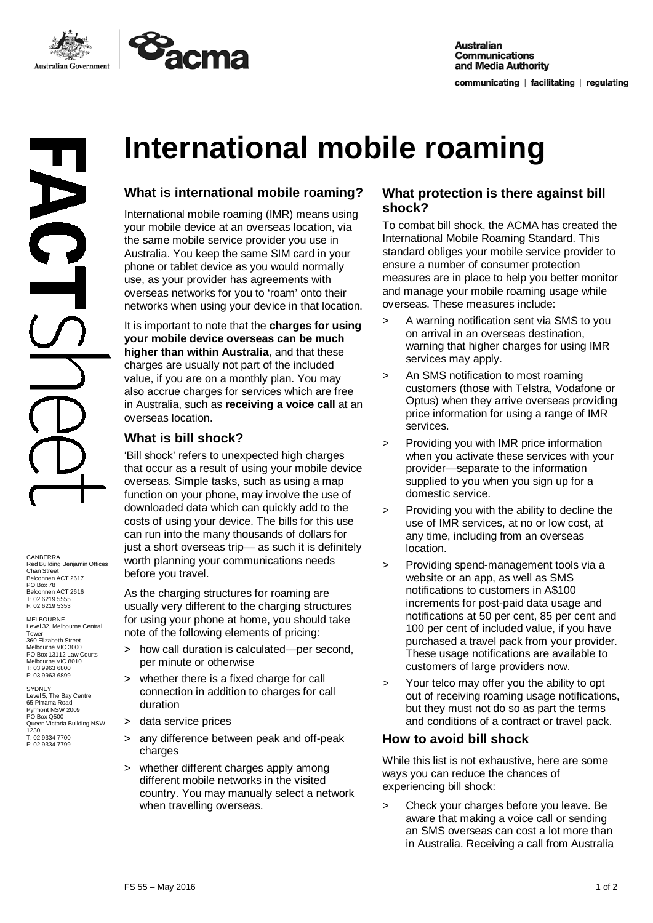



CANBERRA Red Building Benjamin Offices Chan Street Belconnen ACT 2617 PO Box 78 Belconnen ACT 2616 T: 02 6219 5555 F: 02 6219 5353

MELBOURNE<br>Level 32, Melbourne Central<br>Tower 360 Elizabeth Street Melbourne VIC 3000 PO Box 13112 Law Courts Melbourne VIC 8010 T: 03 9963 6800 F: 03 9963 6899

SYDNEY Level 5, The Bay Centre 65 Pirrama Road Pyrmont NSW 2009 PO Box Q500 Queen Victoria Building NSW 1230 T: 02 9334 7700 F: 02 9334 7799

# **International mobile roaming**

## **What is international mobile roaming?**

International mobile roaming (IMR) means using your mobile device at an overseas location, via the same mobile service provider you use in Australia. You keep the same SIM card in your phone or tablet device as you would normally use, as your provider has agreements with overseas networks for you to 'roam' onto their networks when using your device in that location.

It is important to note that the **charges for using your mobile device overseas can be much higher than within Australia**, and that these charges are usually not part of the included value, if you are on a monthly plan. You may also accrue charges for services which are free in Australia, such as **receiving a voice call** at an overseas location.

### **What is bill shock?**

'Bill shock' refers to unexpected high charges that occur as a result of using your mobile device overseas. Simple tasks, such as using a map function on your phone, may involve the use of downloaded data which can quickly add to the costs of using your device. The bills for this use can run into the many thousands of dollars for just a short overseas trip— as such it is definitely worth planning your communications needs before you travel.

As the charging structures for roaming are usually very different to the charging structures for using your phone at home, you should take note of the following elements of pricing:

- > how call duration is calculated—per second, per minute or otherwise
- > whether there is a fixed charge for call connection in addition to charges for call duration
- > data service prices
- > any difference between peak and off-peak charges
- > whether different charges apply among different mobile networks in the visited country. You may manually select a network when travelling overseas.

#### **What protection is there against bill shock?**

To combat bill shock, the ACMA has created the International Mobile Roaming Standard. This standard obliges your mobile service provider to ensure a number of consumer protection measures are in place to help you better monitor and manage your mobile roaming usage while overseas. These measures include:

- > A warning notification sent via SMS to you on arrival in an overseas destination, warning that higher charges for using IMR services may apply.
- > An SMS notification to most roaming customers (those with Telstra, Vodafone or Optus) when they arrive overseas providing price information for using a range of IMR services.
- > Providing you with IMR price information when you activate these services with your provider—separate to the information supplied to you when you sign up for a domestic service.
- > Providing you with the ability to decline the use of IMR services, at no or low cost, at any time, including from an overseas location.
- > Providing spend-management tools via a website or an app, as well as SMS notifications to customers in A\$100 increments for post-paid data usage and notifications at 50 per cent, 85 per cent and 100 per cent of included value, if you have purchased a travel pack from your provider. These usage notifications are available to customers of large providers now.
- > Your telco may offer you the ability to opt out of receiving roaming usage notifications, but they must not do so as part the terms and conditions of a contract or travel pack.

### **How to avoid bill shock**

While this list is not exhaustive, here are some ways you can reduce the chances of experiencing bill shock:

> Check your charges before you leave. Be aware that making a voice call or sending an SMS overseas can cost a lot more than in Australia. Receiving a call from Australia